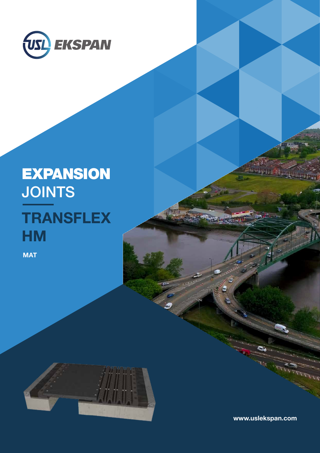

# EXPANSION **JOINTS TRANSFLEX HM**

**MAT** 



www.uslekspan.com

ha thàng tham a chiad the same of the same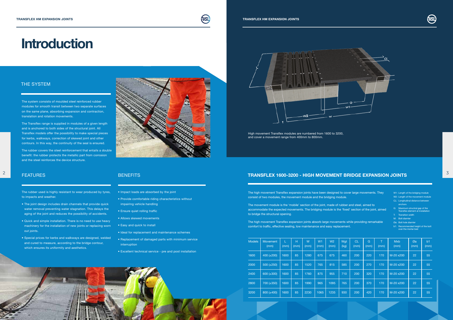# **Introduction**

| <b>Models</b> | Movement<br>(mm) | (mm) | H<br>(mm) | W<br>(mm) | W <sub>1</sub><br>(mm) | W <sub>2</sub><br>(mm) | Wat<br>(kg) | <b>CL</b><br>(mm) | G<br>(mm) | T.<br>(mm) | <b>Mxb</b><br>(mm) | Øa<br>(mm) | b <sub>1</sub><br>(mm) |
|---------------|------------------|------|-----------|-----------|------------------------|------------------------|-------------|-------------------|-----------|------------|--------------------|------------|------------------------|
| 1600          | 400 $(\pm 200)$  | 1600 | 85        | 1280      | 675                    | 675                    | 460         | 200               | 220       | 170        | M-20 x200          | 22         | 55                     |
| 2000          | $500 (\pm 250)$  | 1600 | 85        | 1520      | 765                    | 815                    | 585         | 200               | 270       | 170        | M-20 x200          | 22         | 55                     |
| 2400          | $600 (\pm 300)$  | 1600 | 85        | 1760      | 875                    | 955                    | 710         | 200               | 320       | 170        | M-20 x200          | 22         | 55                     |
| 2800          | $700 (\pm 350)$  | 1600 | 85        | 1990      | 965                    | 1095                   | 765         | 200               | 370       | 170        | $M-20$ x200        | 22         | 55                     |
| 3200          | $800 (\pm 400)$  | 1600 | 85        | 2230      | 1065                   | 1235                   | 930         | 200               | 420       | 170        | M-20 x200          | 22         | 55                     |







## THE SYSTEM

The system consists of moulded steel reinforced rubber modules for smooth transit between two separate surfaces on the same plane, absorbing expansion and contraction, translation and rotation movements.

The Transflex range is supplied in modules of a given length and is anchored to both sides of the structural joint. All Transflex models offer the possibility to make special pieces for kerbs, walkways, correction of skewed joint and other contours. In this way, the continuity of the seal is ensured.

The rubber covers the steel reinforcement that entails a double benefit: the rubber protects the metallic part from corrosion and the steel reinforces the device structure.



The rubber used is highly resistant to wear produced by tyres, to impacts and weather.

- The joint design includes drain channels that provide quick water removal preventing water stagnation. This delays the aging of the joint and reduces the possibility of accidents.
- Quick and simple installation. There is no need to use heavy machinery for the installation of new joints or replacing worn out joints.
- Special prices for kerbs and walkways are designed, welded and cured to measure, according to the bridge contour, which ensures its uniformity and aesthetics.

## FEATURES BENEFITS

- 
- 
- 
- 
- W1: Length of the bridging module
- W2: Length of the movement module
- CL: Longitudinal distance between anchors
- G: Maximum structral gap of the Transflex element at installation
- T: Transition width
- M: Bolt diamter
- Øa: Bolt hole diamter
- b1: Recommended height of the bolt over the mortar bed
- Impact loads are absorbed by the joint
- Provide comfortable riding characteristics without impairing vehicle handling
- Ensure quiet rolling traffic
- Allows skewed movements
- Easy and quick to install
- Ideal for replacement and maintenance schemes
- Replacement of damaged parts with minimum service interruption
- Excellent technical service pre and post installation



High movement Transflex modules are numbered from 1600 to 3200, and cover a movement range from 400mm to 800mm.

# $\blacksquare$  FEATURES FRANSFLEX 1600-3200 - HIGH MOVEMENT BRIDGE EXPANSION JOINTS  $\blacksquare$

The high movement Transflex expansion joints have been designed to cover large movements. They consist of two modules, the movement module and the bridging module.

The movement module is the 'mobile' section of the joint, made of rubber and steel, aimed to accommodate the expected movements. The bridging module is the 'fixed' section of the joint, aimed to bridge the structural opening.

The high movement Transflex expansion joints absorb large movements while providing remarkable comfort to traffic, effective sealing, low maintenance and easy replacement.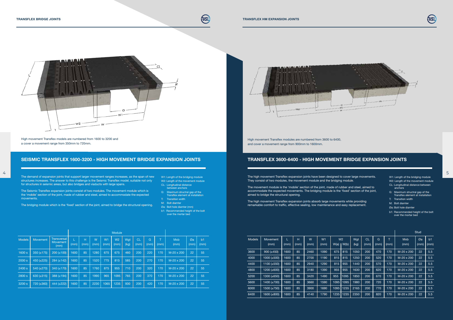

|               |                  |           |           |           |                        |      |                        |      |     |     |     |                   | Stud              |           |      |                    |            |                        |
|---------------|------------------|-----------|-----------|-----------|------------------------|------|------------------------|------|-----|-----|-----|-------------------|-------------------|-----------|------|--------------------|------------|------------------------|
| <b>Models</b> | Movement<br>(mm) | L<br>(mm) | H<br>(mm) | W<br>(mm) | W <sub>1</sub><br>(mm) | W(a) | W <sub>2</sub><br>W(b) |      |     |     |     |                   | <b>CL</b><br>(mm) | G<br>(mm) | (mm) | <b>Mxb</b><br>(mm) | Øa<br>(mm) | b <sub>1</sub><br>(mm) |
| 3600          | $900 (\pm 450)$  | 1600      | 85        | 2460      | 1090                   | 675  | 815                    | 1050 | 200 | 470 | 170 | M-20 x 200        | 22                | 5.5       |      |                    |            |                        |
| 4000          | $1000 (\pm 500)$ | 1600      | 85        | 2700      | 1190                   | 815  | 815                    | 1250 | 200 | 520 | 170 | M-20 x 200        | 22                | 5.5       |      |                    |            |                        |
| 4400          | 1100 $(\pm 550)$ | 1600      | 85        | 2940      | 1290                   | 815  | 955                    | 1440 | 200 | 570 | 170 | M-20 x 200        | 22                | 5.5       |      |                    |            |                        |
| 4800          | 1200 (±600)      | 1600      | 85        | 3180      | 1390                   | 955  | 955                    | 1630 | 200 | 620 | 170 | M-20 x 200        | 22                | 5.5       |      |                    |            |                        |
| 5200          | 1300 (±650)      | 1600      | 85        | 3420      | 1490                   | 955  | 1095                   | 1850 | 200 | 670 | 170 | M-20 x 200        | 22                | 5.5       |      |                    |            |                        |
| 5600          | 1400 (±700)      | 1600      | 85        | 3660      | 1590                   | 1095 | 1095                   | 1980 | 200 | 720 | 170 | $M-20 \times 200$ | 22                | 5.5       |      |                    |            |                        |
| 6000          | 1500 (±750)      | 1600      | 85        | 3900      | 1690                   | 1095 | 1235                   | 2165 | 200 | 770 | 170 | $M-20 \times 200$ | 22                | 5.5       |      |                    |            |                        |
| 6400          | 1600 (±800)      | 1600      | 85        | 4140      | 1790                   | 1235 | 1235                   | 2350 | 200 | 820 | 170 | M-20 x 200        | 22                | 5.5       |      |                    |            |                        |



# TRANSFLEX 3600-6400 - HIGH MOVEMENT BRIDGE EXPANSION JOINTS

High movement Transflex modules are numbered from 3600 to 6400, and cover a movement range from 900mm to 1600mm.

## SEISMIC TRANSFLEX 1600-3200 - HIGH MOVEMENT BRIDGE EXPANSION JOINTS

High movement Transflex models are numbered from 1600 to 3200 and a cover a movement range from 350mm to 720mm.

> W1: Length of the bridging module W2: Length of the movement module

- CL: Longitudinal distance
- between anchors
- G: Maximum structral gap of the Transflex element at installation
- T: Transition width
- M: Bolt diamter
- Øa: Bolt hole diamter (mm)
- b1: Recommended height of the bolt **Example 20 over the mortar bed**

The demand of expansion joints that support larger movement ranges increases, as the span of new structures increases. The answer to this challenge is the Seismic Transflex model, suitable not only for structures in seismic areas, but also bridges and viaducts with large spans.

The Seismic Transflex expansion joints consist of two modules. The movement module which is the 'mobile' section of the joint, made of rubber and steel, aimed to accommodate the expected movements.

The bridging module which is the 'fixed' section of the joint, aimed to bridge the structural opening.

The high movement Transflex expansion joints have been designed to cover large movements. They consist of two modules, the movement module and the bridging module.

The movement module is the 'mobile' section of the joint, made of rubber and steel, aimed to accommodate the expected movements. The bridging module is the 'fixed' section of the joint, aimed to bridge the structural opening.

The high movement Transflex expansion joints absorb large movements while providing remarkable comfort to traffic, effective sealing, low maintenance and easy replacement.

- 
- 
- 
- W1: Length of the bridging module W2: Length of the movement module
- CL: Longitudinal distance between anchors
- G: Maximum structral gap of the Transflex element at installation
- T: Transition width
- M: Bolt diamter
- Øa: Bolt hole diamter
- b1: Recommended height of the bolt over the mortar bed

| <b>Models</b> | <b>Movement</b> | Transversal<br><b>Movement</b><br>(mm) | (mm) | H<br>(mm) | W<br>(mm) | W1<br>(mm) | W <sub>2</sub><br>(mm) | Wat<br>(kg) | Cl<br>(mm) | G<br>(mm) | (mm) | <b>Mxb</b><br>(mm) | Øa<br>(mm) | b1<br>(mm) |
|---------------|-----------------|----------------------------------------|------|-----------|-----------|------------|------------------------|-------------|------------|-----------|------|--------------------|------------|------------|
| 1600 s        | 350 $(\pm 175)$ | $200 (\pm 100)$                        | 1600 | 85        | 1280      | 675        | 675                    | 460         | 200        | 220       | 170  | M-20 x 200         | 22         | 55         |
| 2000 s        | 450 $(\pm 225)$ | $284 (\pm 142)$                        | 1600 | 85        | 1520      | 775        | 815                    | 585         | 200        | 270       | 170  | $M-20 \times 200$  | 22         | 55         |
| 2400 s        | 540 $(\pm 270)$ | 340 $(\pm 170)$                        | 1600 | 85        | 1760      | 875        | 955                    | 710         | 200        | 320       | 170  | $M-20 \times 200$  | 22         | 55         |
| 2800 s        | 630 $(\pm 315)$ | 388 (±194)                             | 1600 | 85        | 1990      | 965        | 1095                   | 765         | 200        | 370       | 170  | M-20 x 200         | 22         | 55         |
| 3200 s        | 720 (±360)      | 444 ( $\pm$ 222)                       | 1600 | 85        | 2230      | 1065       | 1235                   | 930         | 200        | 420       | 170  | $M-20 \times 200$  | 22         | 55         |



4 5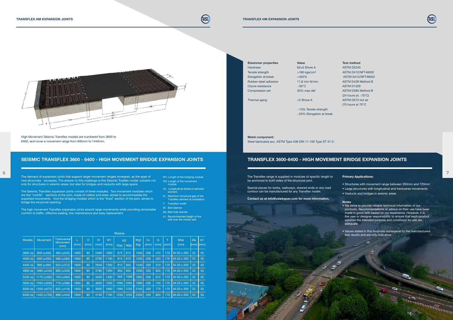

| <b>Models</b> | Movement         | Transversal<br>Movement<br>(mm) | (mm) | н<br>(mm) | W<br>(mm) | W <sub>1</sub><br>(mm) | W <sub>2</sub><br>W(a) | W(b) | Wqt<br>(kg) | <b>CL</b><br>(mm) | G<br>(mm) | (mm) | <b>Mxb</b><br>(mm) | Øa<br>$(mm)$ $(mm)$ | b <sub>1</sub> |
|---------------|------------------|---------------------------------|------|-----------|-----------|------------------------|------------------------|------|-------------|-------------------|-----------|------|--------------------|---------------------|----------------|
| 3600(s)       | $800 (\pm 400)$  | 484 $(\pm 242)$                 | 1600 | 85        | 2460      | 1090                   | 675                    | 815  | 1050        | 200               | 470       | 170  | M-20 x 200         | 22                  | 55             |
| 4000(s)       | $900 (\pm 450)$  | 568 $(\pm 284)$                 | 1600 | 85        | 2700      | 1190                   | 815                    | 815  | 1250        | 200               | 520       | 170  | M-20 x 200         | 22                  | 55             |
| 4400(s)       | $990 (+495)$     | 624 $(\pm 312)$                 | 1600 | 85        | 2940      | 1290                   | 815                    | 955  | 1440        | 200               | 570       | 170  | M-20 x 200         | 22                  | 55             |
| 4800(s)       | $1080 (\pm 540)$ | 680 (±340)                      | 1600 | 85        | 3180      | 1390                   | 955                    | 955  | 1630        | 200               | 620       | 170  | M-20 x 200         | 22                  | 55             |
| 5200(s)       | 1170 (±585)      | $728 (\pm 364)$                 | 1600 | 85        | 3420      | 1490                   | 955                    | 1095 | 1850        | 200               | 670       | 170  | M-20 x 200         | 22                  | 55             |
| 5600(s)       | 1260 (±630)      | 776 (±388)                      | 1600 | 85        | 3660      | 1590                   | 1095                   | 1095 | 1980        | 200               | 720       | 170  | M-20 x 200         | 22                  | 55             |
| 6000(s)       | 1350 (±675)      | $832 (\pm 416)$                 | 1600 | 85        | 3900      | 1690                   | 1095                   | 1235 | 2165        | 200               | 770       | 170  | M-20 x 200         | 22                  | 55             |
| 6400(s)       | 1440 (±720)      | 888 (±444)                      | 1600 | 85        | 4140      | 1790                   | 1235                   | 1235 | 2350        | 200               | 820       | 170  | M-20 x 200         | 22                  | 55             |

Module

| <b>Elastomer properties</b> |
|-----------------------------|
| <b>Hardness</b>             |
| Tensile strength            |
| Elongation at break         |
| Rubber-steel adhesion       |
| Ozone resistance            |
| <b>Compression set</b>      |
|                             |

Value  $62+5$  Shore A  $>160$  kgs/cm<sup>2</sup>  $>425%$ 11,8 min N/mm  $.30^{\circ}$ C 35% max def

Thermal aging  $\leq$  5 Shore A

.-15% Tensile strength .-25% Elongation at break

#### Metal component:

Steel fabricated acc. ASTM Type A36 DIN 17-100 Type ST 37-2.

#### Test method

ASTM D2240 ASTM D412/NFT46002 ASTM D412/NFT46002 ASTM D429 Method B ASTM D1329 ASTM D395 Method B (24 hours at .-70°C) ASTM D573 hot air (70 hours at 70°C

#### TRANSFLEX 3600-6400 - HIGH MOVEMENT BRIDGE EXPANSION JOINTS

### SEISMIC TRANSFLEX 3600 - 6400 - HIGH MOVEMENT BRIDGE EXPANSION JOINTS

High Movement Seismic Transflex models are numbered from 3600 to 6400, and cover a movement range from 800mm to 1440mm.

The Seismic Transflex expansion joints consist of three modules. Two movement modules which are the "mobile" sections of the joint, made of rubber and steel, aimed to accommodate the expected movements. And the bridging module which is the "fixed" section of the joint, aimed to bridge the structural opening.

The high movement Transflex expansion joints absorb large movements while providing remarkable comfort to traffic, effective sealing, low maintenance and easy replacement.

W1: Length of the bridging module W2: Length of the movement module

- CL: Longitudinal distance between anchors
- G: Maximum structural gap of the Transflex element at installation
- T: Transition width
- M: Bolt diamter
- Øa: Bolt hole diamter
- b1: Recommended height of the bolt over the mortar bed

The demand of expansion joints that support larger movement ranges increases, as the span of new structures increases. The answer to this challenge is this Seismic Trasflex model, suitable not only for structures in seismic areas, but also for bridges and viaducts with large spans. 6 7

The Transflex range is supplied in modules of specific length to be anchored to both sides of the structural joint.

Special pieces for kerbs, walkways, skewed ends or any road contour can be manufactured for any Transflex model.

Contact us at info@uslekspan.com for more information.





#### Primary Applications:

- Structures with movement range between 350mm and 720mm
- Large structures with longitudinal and transverse movements
- Viaducts and bridges in seismic areas

#### Notes

- We strive to provide reliable technical information of our products. Recommendations or advice on their use have been made in good faith based on our experience. However, it is the user or designer responsibility to ensure that each product satisfies the intended purpose and conditions for use are adequate.
- Values stated in this brochure correspond to the manufacturers test results and are only indicative.